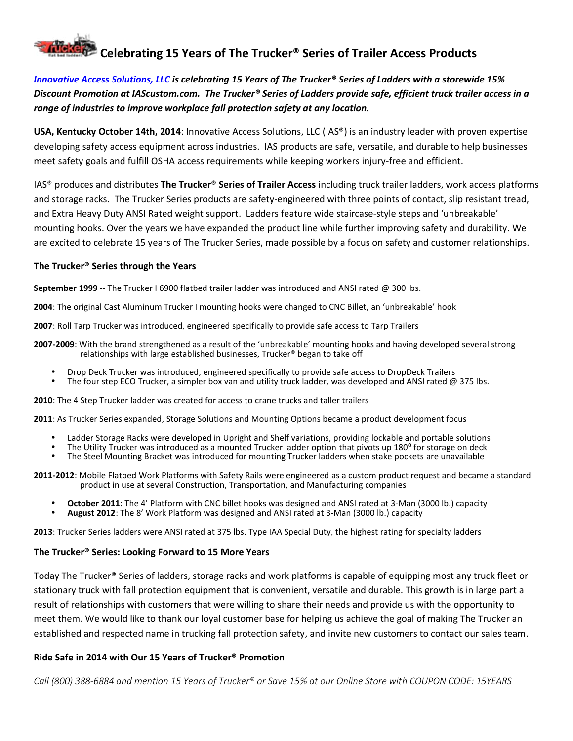# **Celebrating 15 Years of The Trucker® Series of Trailer Access Products**

# *Innovative Access Solutions, LLC is celebrating 15 Years of The Trucker® Series of Ladders with a storewide 15% Discount Promotion at IAScustom.com. The Trucker® Series of Ladders provide safe, efficient truck trailer access in a range of industries to improve workplace fall protection safety at any location.*

**USA, Kentucky October 14th, 2014**: Innovative Access Solutions, LLC (IAS®) is an industry leader with proven expertise developing safety access equipment across industries. IAS products are safe, versatile, and durable to help businesses meet safety goals and fulfill OSHA access requirements while keeping workers injury-free and efficient.

IAS® produces and distributes **The Trucker® Series of Trailer Access** including truck trailer ladders, work access platforms and storage racks. The Trucker Series products are safety-engineered with three points of contact, slip resistant tread, and Extra Heavy Duty ANSI Rated weight support. Ladders feature wide staircase-style steps and 'unbreakable' mounting hooks. Over the years we have expanded the product line while further improving safety and durability. We are excited to celebrate 15 years of The Trucker Series, made possible by a focus on safety and customer relationships.

#### **The Trucker® Series through the Years**

**September 1999** -- The Trucker I 6900 flatbed trailer ladder was introduced and ANSI rated @ 300 lbs.

**2004**: The original Cast Aluminum Trucker I mounting hooks were changed to CNC Billet, an 'unbreakable' hook

**2007**: Roll Tarp Trucker was introduced, engineered specifically to provide safe access to Tarp Trailers

**2007-2009**: With the brand strengthened as a result of the 'unbreakable' mounting hooks and having developed several strong relationships with large established businesses, Trucker® began to take off

- 
- Drop Deck Trucker was introduced, engineered specifically to provide safe access to DropDeck Trailers The four step ECO Trucker, a simpler box van and utility truck ladder, was developed and ANSI rated @ 375 lbs.

**2010**: The 4 Step Trucker ladder was created for access to crane trucks and taller trailers

**2011**: As Trucker Series expanded, Storage Solutions and Mounting Options became a product development focus

- 
- Ladder Storage Racks were developed in Upright and Shelf variations, providing lockable and portable solutions<br>The Utility Trucker was introduced as a mounted Trucker ladder option that pivots up 180° for storage on deck<br>T
- 

**2011-2012**: Mobile Flatbed Work Platforms with Safety Rails were engineered as a custom product request and became a standard product in use at several Construction, Transportation, and Manufacturing companies

- **October 2011**: The 4' Platform with CNC billet hooks was designed and ANSI rated at 3-Man (3000 lb.) capacity **August 2012**: The 8' Work Platform was designed and ANSI rated at 3-Man (3000 lb.) capacity
- 

**2013**: Trucker Series ladders were ANSI rated at 375 lbs. Type IAA Special Duty, the highest rating for specialty ladders

## **The Trucker® Series: Looking Forward to 15 More Years**

Today The Trucker® Series of ladders, storage racks and work platforms is capable of equipping most any truck fleet or stationary truck with fall protection equipment that is convenient, versatile and durable. This growth is in large part a result of relationships with customers that were willing to share their needs and provide us with the opportunity to meet them. We would like to thank our loyal customer base for helping us achieve the goal of making The Trucker an established and respected name in trucking fall protection safety, and invite new customers to contact our sales team.

## **Ride Safe in 2014 with Our 15 Years of Trucker® Promotion**

*Call (800) 388-6884 and mention 15 Years of Trucker® or Save 15% at our Online Store with COUPON CODE: 15YEARS*